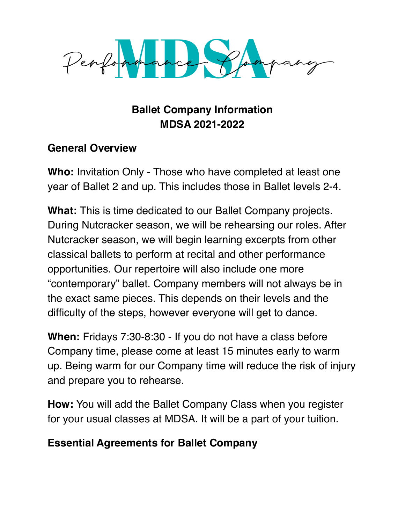

## **Ballet Company Information MDSA 2021-2022**

## **General Overview**

**Who:** Invitation Only - Those who have completed at least one year of Ballet 2 and up. This includes those in Ballet levels 2-4.

**What:** This is time dedicated to our Ballet Company projects. During Nutcracker season, we will be rehearsing our roles. After Nutcracker season, we will begin learning excerpts from other classical ballets to perform at recital and other performance opportunities. Our repertoire will also include one more "contemporary" ballet. Company members will not always be in the exact same pieces. This depends on their levels and the difficulty of the steps, however everyone will get to dance.

**When:** Fridays 7:30-8:30 - If you do not have a class before Company time, please come at least 15 minutes early to warm up. Being warm for our Company time will reduce the risk of injury and prepare you to rehearse.

**How:** You will add the Ballet Company Class when you register for your usual classes at MDSA. It will be a part of your tuition.

## **Essential Agreements for Ballet Company**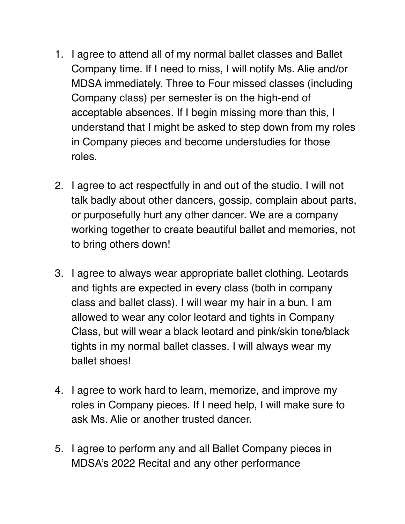- 1. I agree to attend all of my normal ballet classes and Ballet Company time. If I need to miss, I will notify Ms. Alie and/or MDSA immediately. Three to Four missed classes (including Company class) per semester is on the high-end of acceptable absences. If I begin missing more than this, I understand that I might be asked to step down from my roles in Company pieces and become understudies for those roles.
- 2. I agree to act respectfully in and out of the studio. I will not talk badly about other dancers, gossip, complain about parts, or purposefully hurt any other dancer. We are a company working together to create beautiful ballet and memories, not to bring others down!
- 3. I agree to always wear appropriate ballet clothing. Leotards and tights are expected in every class (both in company class and ballet class). I will wear my hair in a bun. I am allowed to wear any color leotard and tights in Company Class, but will wear a black leotard and pink/skin tone/black tights in my normal ballet classes. I will always wear my ballet shoes!
- 4. I agree to work hard to learn, memorize, and improve my roles in Company pieces. If I need help, I will make sure to ask Ms. Alie or another trusted dancer.
- 5. I agree to perform any and all Ballet Company pieces in MDSA's 2022 Recital and any other performance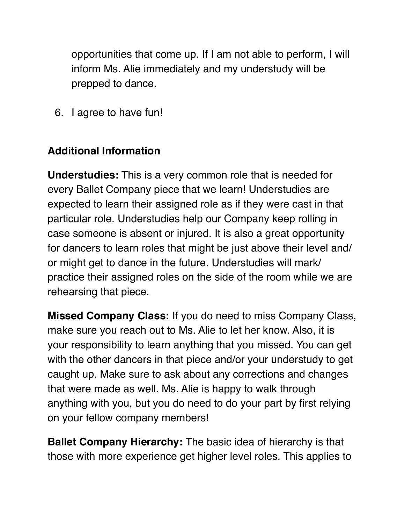opportunities that come up. If I am not able to perform, I will inform Ms. Alie immediately and my understudy will be prepped to dance.

6. I agree to have fun!

## **Additional Information**

**Understudies:** This is a very common role that is needed for every Ballet Company piece that we learn! Understudies are expected to learn their assigned role as if they were cast in that particular role. Understudies help our Company keep rolling in case someone is absent or injured. It is also a great opportunity for dancers to learn roles that might be just above their level and/ or might get to dance in the future. Understudies will mark/ practice their assigned roles on the side of the room while we are rehearsing that piece.

**Missed Company Class:** If you do need to miss Company Class, make sure you reach out to Ms. Alie to let her know. Also, it is your responsibility to learn anything that you missed. You can get with the other dancers in that piece and/or your understudy to get caught up. Make sure to ask about any corrections and changes that were made as well. Ms. Alie is happy to walk through anything with you, but you do need to do your part by first relying on your fellow company members!

**Ballet Company Hierarchy:** The basic idea of hierarchy is that those with more experience get higher level roles. This applies to